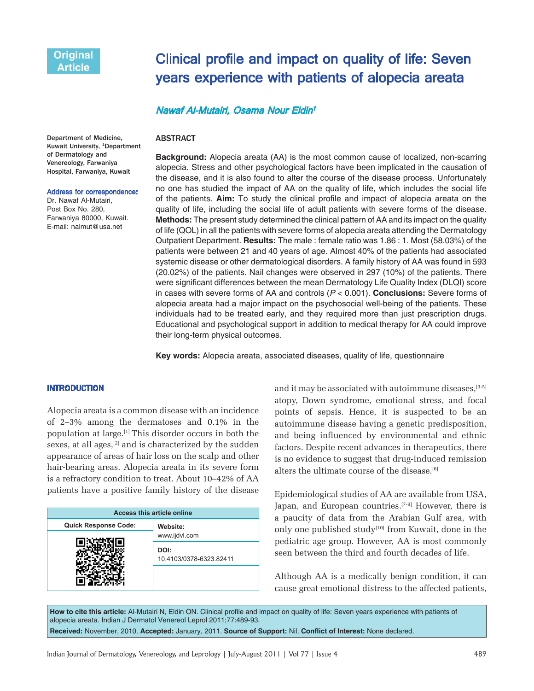# Clinical profile and impact on quality of life: Seven years experience with patients of alopecia areata

## Nawaf Al-Mutairi, Osama Nour Eldin<sup>1</sup>

## ABSTRACT

Department of Medicine, Kuwait University, <sup>1</sup>Department of Dermatology and Venereology, Farwaniya Hospital, Farwaniya, Kuwait

#### Address for correspondence:

Dr. Nawaf Al-Mutairi, Post Box No. 280, Farwaniya 80000, Kuwait. E-mail: nalmut@usa.net

**Background:** Alopecia areata (AA) is the most common cause of localized, non-scarring alopecia. Stress and other psychological factors have been implicated in the causation of the disease, and it is also found to alter the course of the disease process. Unfortunately no one has studied the impact of AA on the quality of life, which includes the social life of the patients. **Aim:** To study the clinical profile and impact of alopecia areata on the quality of life, including the social life of adult patients with severe forms of the disease. **Methods:** The present study determined the clinical pattern of AA and its impact on the quality of life (QOL) in all the patients with severe forms of alopecia areata attending the Dermatology Outpatient Department. **Results:** The male : female ratio was 1.86 : 1. Most (58.03%) of the patients were between 21 and 40 years of age. Almost 40% of the patients had associated systemic disease or other dermatological disorders. A family history of AA was found in 593 (20.02%) of the patients. Nail changes were observed in 297 (10%) of the patients. There were significant differences between the mean Dermatology Life Quality Index (DLQI) score in cases with severe forms of AA and controls (*P* < 0.001). **Conclusions:** Severe forms of alopecia areata had a major impact on the psychosocial well-being of the patients. These individuals had to be treated early, and they required more than just prescription drugs. Educational and psychological support in addition to medical therapy for AA could improve their long-term physical outcomes.

**Key words:** Alopecia areata, associated diseases, quality of life, questionnaire

## INTRODUCTION

Alopecia areata is a common disease with an incidence of 2–3% among the dermatoses and 0.1% in the population at large.[1] This disorder occurs in both the sexes, at all ages,<sup>[2]</sup> and is characterized by the sudden appearance of areas of hair loss on the scalp and other hair-bearing areas. Alopecia areata in its severe form is a refractory condition to treat. About 10–42% of AA patients have a positive family history of the disease

| Access this article online  |                                 |  |  |
|-----------------------------|---------------------------------|--|--|
| <b>Quick Response Code:</b> | Website:                        |  |  |
|                             | www.ijdvl.com                   |  |  |
|                             | DOI:<br>10.4103/0378-6323.82411 |  |  |
|                             |                                 |  |  |

and it may be associated with autoimmune diseases,[3-5] atopy, Down syndrome, emotional stress, and focal points of sepsis. Hence, it is suspected to be an autoimmune disease having a genetic predisposition, and being influenced by environmental and ethnic factors. Despite recent advances in therapeutics, there is no evidence to suggest that drug-induced remission alters the ultimate course of the disease.<sup>[6]</sup>

Epidemiological studies of AA are available from USA, Japan, and European countries.<sup>[7-9]</sup> However, there is a paucity of data from the Arabian Gulf area, with only one published study<sup>[10]</sup> from Kuwait, done in the pediatric age group. However, AA is most commonly seen between the third and fourth decades of life.

Although AA is a medically benign condition, it can cause great emotional distress to the affected patients,

**How to cite this article:** Al-Mutairi N, Eldin ON. Clinical profile and impact on quality of life: Seven years experience with patients of alopecia areata. Indian J Dermatol Venereol Leprol 2011;77:489-93. **Received:** November, 2010. **Accepted:** January, 2011. **Source of Support:** Nil. **Conflict of Interest:** None declared.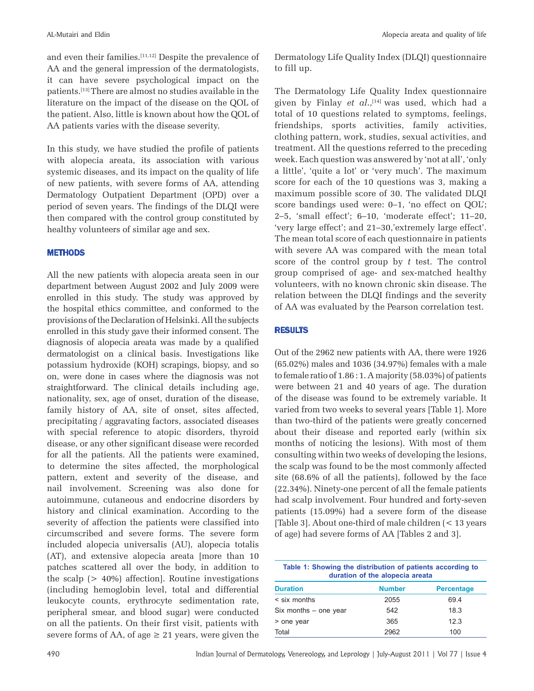and even their families.<sup>[11,12]</sup> Despite the prevalence of AA and the general impression of the dermatologists, it can have severe psychological impact on the patients.[13] There are almost no studies available in the literature on the impact of the disease on the QOL of the patient. Also, little is known about how the QOL of AA patients varies with the disease severity.

In this study, we have studied the profile of patients with alopecia areata, its association with various systemic diseases, and its impact on the quality of life of new patients, with severe forms of AA, attending Dermatology Outpatient Department (OPD) over a period of seven years. The findings of the DLQI were then compared with the control group constituted by healthy volunteers of similar age and sex.

## **METHODS**

All the new patients with alopecia areata seen in our department between August 2002 and July 2009 were enrolled in this study. The study was approved by the hospital ethics committee, and conformed to the provisions of the Declaration of Helsinki. All the subjects enrolled in this study gave their informed consent. The diagnosis of alopecia areata was made by a qualified dermatologist on a clinical basis. Investigations like potassium hydroxide (KOH) scrapings, biopsy, and so on, were done in cases where the diagnosis was not straightforward. The clinical details including age, nationality, sex, age of onset, duration of the disease, family history of AA, site of onset, sites affected, precipitating / aggravating factors, associated diseases with special reference to atopic disorders, thyroid disease, or any other significant disease were recorded for all the patients. All the patients were examined, to determine the sites affected, the morphological pattern, extent and severity of the disease, and nail involvement. Screening was also done for autoimmune, cutaneous and endocrine disorders by history and clinical examination. According to the severity of affection the patients were classified into circumscribed and severe forms. The severe form included alopecia universalis (AU), alopecia totalis (AT), and extensive alopecia areata [more than 10 patches scattered all over the body, in addition to the scalp  $(> 40\%)$  affection]. Routine investigations (including hemoglobin level, total and differential leukocyte counts, erythrocyte sedimentation rate, peripheral smear, and blood sugar) were conducted on all the patients. On their first visit, patients with severe forms of AA, of age  $\geq 21$  years, were given the Dermatology Life Quality Index (DLQI) questionnaire to fill up.

The Dermatology Life Quality Index questionnaire given by Finlay *et al.*,<sup>[14]</sup> was used, which had a total of 10 questions related to symptoms, feelings, friendships, sports activities, family activities, clothing pattern, work, studies, sexual activities, and treatment. All the questions referred to the preceding week. Each question was answered by 'not at all', 'only a little', 'quite a lot' or 'very much'. The maximum score for each of the 10 questions was 3, making a maximum possible score of 30. The validated DLQI score bandings used were: 0–1, 'no effect on QOL'; 2–5, 'small effect'; 6–10, 'moderate effect'; 11–20, 'very large effect'; and 21–30,'extremely large effect'. The mean total score of each questionnaire in patients with severe AA was compared with the mean total score of the control group by *t* test. The control group comprised of age- and sex-matched healthy volunteers, with no known chronic skin disease. The relation between the DLQI findings and the severity of AA was evaluated by the Pearson correlation test.

## RESULTS

Out of the 2962 new patients with AA, there were 1926 (65.02%) males and 1036 (34.97%) females with a male to female ratio of 1.86 : 1. A majority (58.03%) of patients were between 21 and 40 years of age. The duration of the disease was found to be extremely variable. It varied from two weeks to several years [Table 1]. More than two-third of the patients were greatly concerned about their disease and reported early (within six months of noticing the lesions). With most of them consulting within two weeks of developing the lesions, the scalp was found to be the most commonly affected site (68.6% of all the patients), followed by the face (22.34%). Ninety-one percent of all the female patients had scalp involvement. Four hundred and forty-seven patients (15.09%) had a severe form of the disease [Table 3]. About one-third of male children (< 13 years of age) had severe forms of AA [Tables 2 and 3].

| Table 1: Showing the distribution of patients according to<br>duration of the alopecia areata |               |                   |  |  |
|-----------------------------------------------------------------------------------------------|---------------|-------------------|--|--|
| <b>Duration</b>                                                                               | <b>Number</b> | <b>Percentage</b> |  |  |
| $\leq$ six months                                                                             | 2055          | 69.4              |  |  |
| $Six$ months $-$ one year                                                                     | 542           | 18.3              |  |  |
| > one year                                                                                    | 365           | 12.3              |  |  |
| Total                                                                                         | 2962          | 100               |  |  |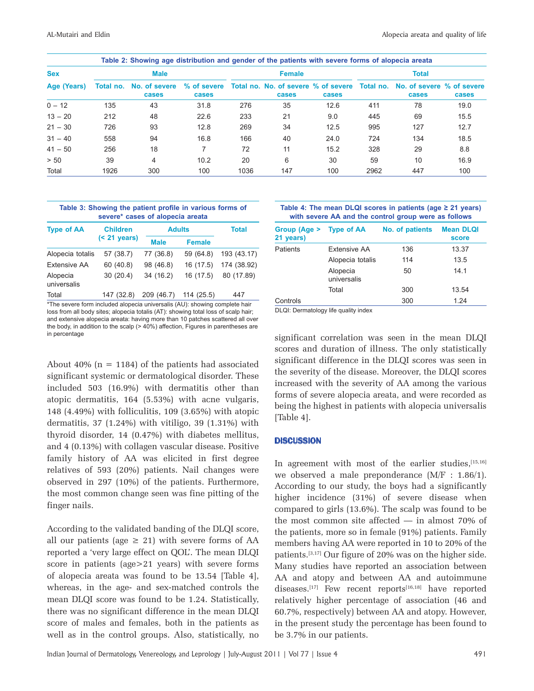| Table 2: Showing age distribution and gender of the patients with severe forms of alopecia areata |             |                                  |       |               |       |       |       |                                                                                              |       |
|---------------------------------------------------------------------------------------------------|-------------|----------------------------------|-------|---------------|-------|-------|-------|----------------------------------------------------------------------------------------------|-------|
| <b>Sex</b>                                                                                        | <b>Male</b> |                                  |       | <b>Female</b> |       |       | Total |                                                                                              |       |
| Age (Years)                                                                                       |             | Total no. No. of severe<br>cases | cases |               | cases | cases |       | % of severe Total no. No. of severe % of severe Total no. No. of severe % of severe<br>cases | cases |
| $0 - 12$                                                                                          | 135         | 43                               | 31.8  | 276           | 35    | 12.6  | 411   | 78                                                                                           | 19.0  |
| $13 - 20$                                                                                         | 212         | 48                               | 22.6  | 233           | 21    | 9.0   | 445   | 69                                                                                           | 15.5  |
| $21 - 30$                                                                                         | 726         | 93                               | 12.8  | 269           | 34    | 12.5  | 995   | 127                                                                                          | 12.7  |
| $31 - 40$                                                                                         | 558         | 94                               | 16.8  | 166           | 40    | 24.0  | 724   | 134                                                                                          | 18.5  |
| $41 - 50$                                                                                         | 256         | 18                               |       | 72            | 11    | 15.2  | 328   | 29                                                                                           | 8.8   |
| > 50                                                                                              | 39          | 4                                | 10.2  | 20            | 6     | 30    | 59    | 10                                                                                           | 16.9  |
| Total                                                                                             | 1926        | 300                              | 100   | 1036          | 147   | 100   | 2962  | 447                                                                                          | 100   |

| Table 3: Showing the patient profile in various forms of<br>severe* cases of alopecia areata |                 |               |               |             |  |
|----------------------------------------------------------------------------------------------|-----------------|---------------|---------------|-------------|--|
| <b>Type of AA</b>                                                                            | <b>Children</b> | <b>Adults</b> | <b>Total</b>  |             |  |
|                                                                                              | $(21 years)$    | <b>Male</b>   | <b>Female</b> |             |  |
| Alopecia totalis                                                                             | 57 (38.7)       | 77 (36.8)     | 59 (64.8)     | 193 (43.17) |  |
| <b>Extensive AA</b>                                                                          | 60(40.8)        | 98 (46.8)     | 16(17.5)      | 174 (38.92) |  |
| Alopecia<br>universalis                                                                      | 30(20.4)        | 34 (16.2)     | 16 (17.5)     | 80 (17.89)  |  |
| Total                                                                                        | 147 (32.8)      | 209 (46.7)    | 114(25.5)     | 447         |  |

\*The severe form included alopecia universalis (AU): showing complete hair loss from all body sites; alopecia totalis (AT): showing total loss of scalp hair; and extensive alopecia areata: having more than 10 patches scattered all over the body, in addition to the scalp (> 40%) affection, Figures in parentheses are in percentage

About 40%  $(n = 1184)$  of the patients had associated significant systemic or dermatological disorder. These included 503 (16.9%) with dermatitis other than atopic dermatitis, 164 (5.53%) with acne vulgaris, 148 (4.49%) with folliculitis, 109 (3.65%) with atopic dermatitis, 37 (1.24%) with vitiligo, 39 (1.31%) with thyroid disorder, 14 (0.47%) with diabetes mellitus, and 4 (0.13%) with collagen vascular disease. Positive family history of AA was elicited in first degree relatives of 593 (20%) patients. Nail changes were observed in 297 (10%) of the patients. Furthermore, the most common change seen was fine pitting of the finger nails.

According to the validated banding of the DLQI score, all our patients (age  $\geq$  21) with severe forms of AA reported a 'very large effect on QOL'. The mean DLQI score in patients (age>21 years) with severe forms of alopecia areata was found to be 13.54 [Table 4], whereas, in the age- and sex-matched controls the mean DLQI score was found to be 1.24. Statistically, there was no significant difference in the mean DLQI score of males and females, both in the patients as well as in the control groups. Also, statistically, no

| Table 4: The mean DLQI scores in patients (age $\geq$ 21 years) |  |
|-----------------------------------------------------------------|--|
| with severe AA and the control group were as follows            |  |

| Group (Age > Type of AA<br>21 years) |                         | No. of patients | <b>Mean DLQI</b><br>score |
|--------------------------------------|-------------------------|-----------------|---------------------------|
| Patients                             | <b>Extensive AA</b>     | 136             | 13.37                     |
|                                      | Alopecia totalis        | 114             | 13.5                      |
|                                      | Alopecia<br>universalis | 50              | 14.1                      |
|                                      | Total                   | 300             | 13.54                     |
| Controls                             |                         | 300             | 1.24                      |

DLQI: Dermatology life quality index

significant correlation was seen in the mean DLQI scores and duration of illness. The only statistically significant difference in the DLQI scores was seen in the severity of the disease. Moreover, the DLQI scores increased with the severity of AA among the various forms of severe alopecia areata, and were recorded as being the highest in patients with alopecia universalis [Table 4].

## **DISCUSSION**

In agreement with most of the earlier studies,  $[15,16]$ we observed a male preponderance (M/F : 1.86/1). According to our study, the boys had a significantly higher incidence (31%) of severe disease when compared to girls (13.6%). The scalp was found to be the most common site affected — in almost 70% of the patients, more so in female (91%) patients. Family members having AA were reported in 10 to 20% of the patients.[3,17] Our figure of 20% was on the higher side. Many studies have reported an association between AA and atopy and between AA and autoimmune diseases.<sup>[17]</sup> Few recent reports<sup>[16,18]</sup> have reported relatively higher percentage of association (46 and 60.7%, respectively) between AA and atopy. However, in the present study the percentage has been found to be 3.7% in our patients.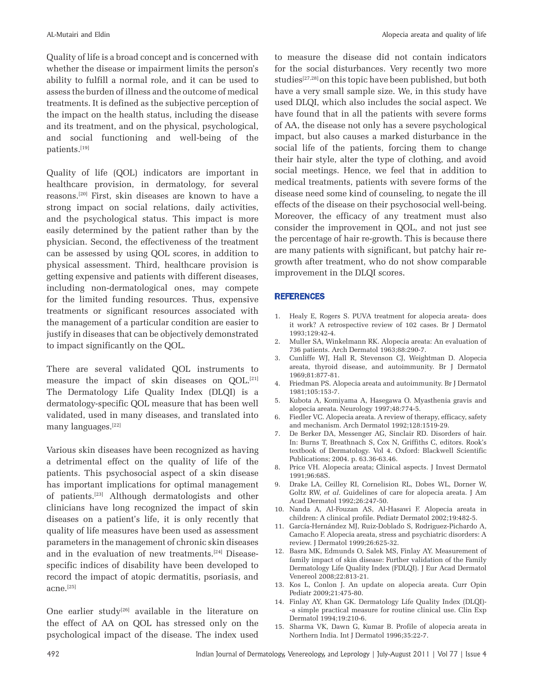Quality of life is a broad concept and is concerned with whether the disease or impairment limits the person's ability to fulfill a normal role, and it can be used to assess the burden of illness and the outcome of medical treatments. It is defined as the subjective perception of the impact on the health status, including the disease and its treatment, and on the physical, psychological, and social functioning and well-being of the patients.[19]

Quality of life (QOL) indicators are important in healthcare provision, in dermatology, for several reasons.[20] First, skin diseases are known to have a strong impact on social relations, daily activities, and the psychological status. This impact is more easily determined by the patient rather than by the physician. Second, the effectiveness of the treatment can be assessed by using QOL scores, in addition to physical assessment. Third, healthcare provision is getting expensive and patients with different diseases, including non-dermatological ones, may compete for the limited funding resources. Thus, expensive treatments or significant resources associated with the management of a particular condition are easier to justify in diseases that can be objectively demonstrated to impact significantly on the QOL.

There are several validated QOL instruments to measure the impact of skin diseases on QOL.[21] The Dermatology Life Quality Index (DLQI) is a dermatology-specific QOL measure that has been well validated, used in many diseases, and translated into many languages.[22]

Various skin diseases have been recognized as having a detrimental effect on the quality of life of the patients. This psychosocial aspect of a skin disease has important implications for optimal management of patients.[23] Although dermatologists and other clinicians have long recognized the impact of skin diseases on a patient's life, it is only recently that quality of life measures have been used as assessment parameters in the management of chronic skin diseases and in the evaluation of new treatments.[24] Diseasespecific indices of disability have been developed to record the impact of atopic dermatitis, psoriasis, and  $acne.$ <sup>[25]</sup>

One earlier study<sup>[26]</sup> available in the literature on the effect of AA on QOL has stressed only on the psychological impact of the disease. The index used to measure the disease did not contain indicators for the social disturbances. Very recently two more studies[27,28] on this topic have been published, but both have a very small sample size. We, in this study have used DLQI, which also includes the social aspect. We have found that in all the patients with severe forms of AA, the disease not only has a severe psychological impact, but also causes a marked disturbance in the social life of the patients, forcing them to change their hair style, alter the type of clothing, and avoid social meetings. Hence, we feel that in addition to medical treatments, patients with severe forms of the disease need some kind of counseling, to negate the ill effects of the disease on their psychosocial well-being. Moreover, the efficacy of any treatment must also consider the improvement in QOL, and not just see the percentage of hair re-growth. This is because there are many patients with significant, but patchy hair regrowth after treatment, who do not show comparable improvement in the DLQI scores.

## REFERENCES

- 1. Healy E, Rogers S. PUVA treatment for alopecia areata- does it work? A retrospective review of 102 cases. Br J Dermatol 1993;129:42-4.
- 2. Muller SA, Winkelmann RK. Alopecia areata: An evaluation of 736 patients. Arch Dermatol 1963;88:290-7.
- 3. Cunliffe WJ, Hall R, Stevenson CJ, Weightman D. Alopecia areata, thyroid disease, and autoimmunity. Br J Dermatol 1969;81:877-81.
- 4. Friedman PS. Alopecia areata and autoimmunity. Br J Dermatol 1981;105:153-7.
- 5. Kubota A, Komiyama A, Hasegawa O. Myasthenia gravis and alopecia areata. Neurology 1997;48:774-5.
- 6. Fiedler VC. Alopecia areata. A review of therapy, efficacy, safety and mechanism. Arch Dermatol 1992;128:1519-29.
- 7. De Berker DA, Messenger AG, Sinclair RD. Disorders of hair. In: Burns T, Breathnach S, Cox N, Griffiths C, editors. Rook's textbook of Dermatology. Vol 4. Oxford: Blackwell Scientific Publications; 2004. p. 63.36-63.46.
- 8. Price VH. Alopecia areata; Clinical aspects. J Invest Dermatol 1991;96:68S.
- 9. Drake LA, Ceilley RI, Cornelision RL, Dobes WL, Dorner W, Goltz RW, *et al*. Guidelines of care for alopecia areata. J Am Acad Dermatol 1992;26:247-50.
- 10. Nanda A, Al-Fouzan AS, Al-Hasawi F. Alopecia areata in children: A clinical profile. Pediatr Dermatol 2002;19:482-5.
- 11. García-Hernández MJ, Ruiz-Doblado S, Rodriguez-Pichardo A, Camacho F. Alopecia areata, stress and psychiatric disorders: A review. J Dermatol 1999;26:625-32.
- 12. Basra MK, Edmunds O, Salek MS, Finlay AY. Measurement of family impact of skin disease: Further validation of the Family Dermatology Life Quality Index (FDLQI). J Eur Acad Dermatol Venereol 2008;22:813-21.
- 13. Kos L, Conlon J. An update on alopecia areata. Curr Opin Pediatr 2009;21:475-80.
- 14. Finlay AY, Khan GK. Dermatology Life Quality Index (DLQI)- -a simple practical measure for routine clinical use. Clin Exp Dermatol 1994;19:210-6.
- 15. Sharma VK, Dawn G, Kumar B. Profile of alopecia areata in Northern India. Int J Dermatol 1996;35:22-7.